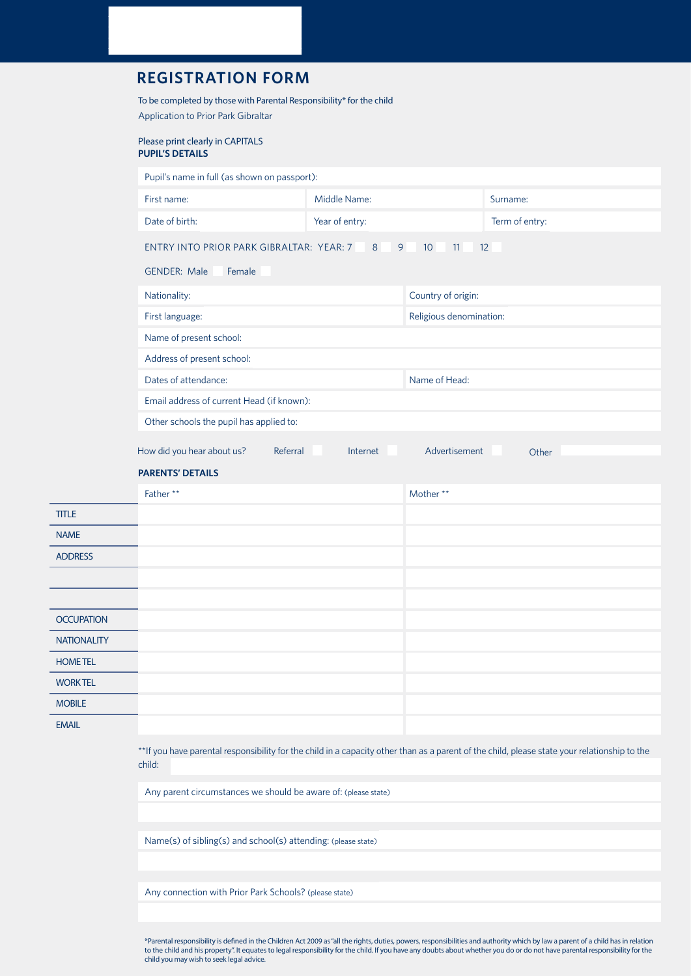| <b>REGISTRATION FORM</b> |
|--------------------------|
|--------------------------|

Application to Prior Park Gibraltar To be completed by those with Parental Responsibility\* for the child

## Please print clearly in CAPITALS **PUPIL'S DETAILS**

MOBILE EMAIL

|                    | Pupil's name in full (as shown on passport): |                |                             |                |  |  |
|--------------------|----------------------------------------------|----------------|-----------------------------|----------------|--|--|
|                    | First name:                                  | Middle Name:   |                             | Surname:       |  |  |
|                    | Date of birth:                               | Year of entry: |                             | Term of entry: |  |  |
|                    | ENTRY INTO PRIOR PARK GIBRALTAR: YEAR: 7     | 8<br>9         | 11<br>12<br>10 <sup>°</sup> |                |  |  |
|                    | <b>GENDER: Male</b><br>Female                |                |                             |                |  |  |
|                    | Nationality:                                 |                | Country of origin:          |                |  |  |
|                    | First language:                              |                | Religious denomination:     |                |  |  |
|                    | Name of present school:                      |                |                             |                |  |  |
|                    | Address of present school:                   |                |                             |                |  |  |
|                    | Dates of attendance:                         |                | Name of Head:               |                |  |  |
|                    | Email address of current Head (if known):    |                |                             |                |  |  |
|                    | Other schools the pupil has applied to:      |                |                             |                |  |  |
|                    | How did you hear about us?<br>Referral       | Internet       | Advertisement               | Other          |  |  |
|                    | <b>PARENTS' DETAILS</b>                      |                |                             |                |  |  |
|                    | Father**                                     |                | Mother **                   |                |  |  |
| <b>TITLE</b>       |                                              |                |                             |                |  |  |
| <b>NAME</b>        |                                              |                |                             |                |  |  |
| <b>ADDRESS</b>     |                                              |                |                             |                |  |  |
|                    |                                              |                |                             |                |  |  |
|                    |                                              |                |                             |                |  |  |
| <b>OCCUPATION</b>  |                                              |                |                             |                |  |  |
| <b>NATIONALITY</b> |                                              |                |                             |                |  |  |
| <b>HOMETEL</b>     |                                              |                |                             |                |  |  |
| <b>WORKTEL</b>     |                                              |                |                             |                |  |  |
| <b>MOBILE</b>      |                                              |                |                             |                |  |  |
| <b>FMAIL</b>       |                                              |                |                             |                |  |  |

\*\*If you have parental responsibility for the child in a capacity other than as a parent of the child, please state your relationship to the child:

Any parent circumstances we should be aware of: (please state)

Name(s) of sibling(s) and school(s) attending: (please state)

Any connection with Prior Park Schools? (please state)

\*Parental responsibility is defined in the Children Act 2009 as "all the rights, duties, powers, responsibilities and authority which by law a parent of a child has in relation to the child and his property". It equates to legal responsibility for the child. If you have any doubts about whether you do or do not have parental responsibility for the child you may wish to seek legal advice.